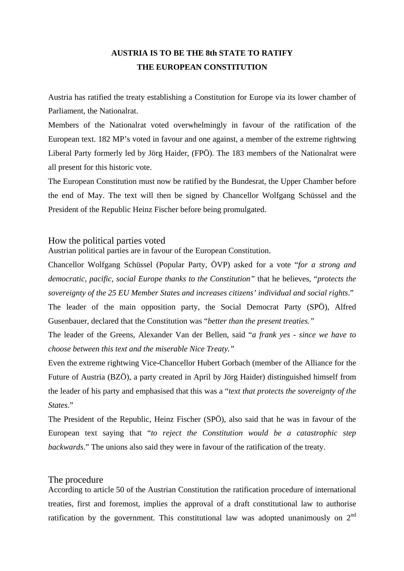## **AUSTRIA IS TO BE THE 8th STATE TO RATIFY THE EUROPEAN CONSTITUTION**

Austria has ratified the treaty establishing a Constitution for Europe via its lower chamber of Parliament, the Nationalrat.

Members of the Nationalrat voted overwhelmingly in favour of the ratification of the European text. 182 MP's voted in favour and one against, a member of the extreme rightwing Liberal Party formerly led by Jörg Haider, (FPÖ). The 183 members of the Nationalrat were all present for this historic vote.

The European Constitution must now be ratified by the Bundesrat, the Upper Chamber before the end of May. The text will then be signed by Chancellor Wolfgang Schüssel and the President of the Republic Heinz Fischer before being promulgated.

## How the political parties voted

Austrian political parties are in favour of the European Constitution.

Chancellor Wolfgang Schüssel (Popular Party, ÖVP) asked for a vote "*for a strong and democratic, pacific, social Europe thanks to the Constitution"* that he believes, "*protects the sovereignty of the 25 EU Member States and increases citizens' individual and social rights*."

The leader of the main opposition party, the Social Democrat Party (SPÖ), Alfred Gusenbauer, declared that the Constitution was "*better than the present treaties."*

The leader of the Greens, Alexander Van der Bellen, said "*a frank yes - since we have to choose between this text and the miserable Nice Treaty."*

Even the extreme rightwing Vice-Chancellor Hubert Gorbach (member of the Alliance for the Future of Austria (BZÖ), a party created in April by Jörg Haider) distinguished himself from the leader of his party and emphasised that this was a "*text that protects the sovereignty of the States.*"

The President of the Republic, Heinz Fischer (SPÖ), also said that he was in favour of the European text saying that "*to reject the Constitution would be a catastrophic step backwards*." The unions also said they were in favour of the ratification of the treaty.

## The procedure

According to article 50 of the Austrian Constitution the ratification procedure of international treaties, first and foremost, implies the approval of a draft constitutional law to authorise ratification by the government. This constitutional law was adopted unanimously on  $2<sup>nd</sup>$